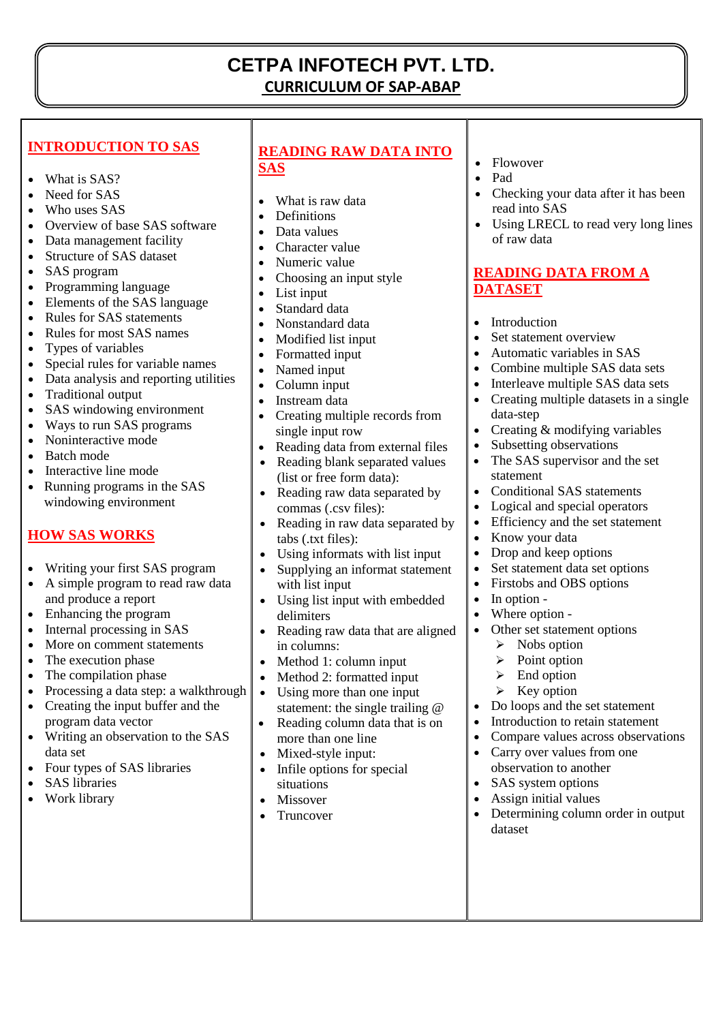# **CETPA INFOTECH PVT. LTD. CURRICULUM OF SAP-ABAP**

#### **INTRODUCTION TO SAS**

- What is SAS?
- Need for SAS
- Who uses SAS
- Overview of base SAS software
- Data management facility
- Structure of SAS dataset
- SAS program
- Programming language
- Elements of the SAS language
- Rules for SAS statements
- Rules for most SAS names
- Types of variables
- Special rules for variable names
- Data analysis and reporting utilities
- Traditional output
- SAS windowing environment
- Ways to run SAS programs
- Noninteractive mode
- Batch mode
- Interactive line mode
- Running programs in the SAS windowing environment

# **HOW SAS WORKS**

- Writing your first SAS program
- A simple program to read raw data and produce a report
- Enhancing the program
- Internal processing in SAS
- More on comment statements
- The execution phase
- The compilation phase
- Processing a data step: a walkthrough
- Creating the input buffer and the program data vector
- Writing an observation to the SAS data set
- Four types of SAS libraries
- SAS libraries
- Work library

### **READING RAW DATA INTO SAS**

- What is raw data
- **Definitions**

- Data values
- Character value
- Numeric value
- Choosing an input style
- List input
- Standard data
- Nonstandard data
- Modified list input
- Formatted input
- Named input
- Column input
- Instream data
- Creating multiple records from single input row
- Reading data from external files
- Reading blank separated values (list or free form data):
- Reading raw data separated by commas (.csv files):
- Reading in raw data separated by tabs (.txt files):
- Using informats with list input
- Supplying an informat statement with list input
- Using list input with embedded delimiters
- Reading raw data that are aligned in columns:
- Method 1: column input
- Method 2: formatted input
- Using more than one input statement: the single trailing @
- Reading column data that is on more than one line
- Mixed-style input:
- Infile options for special situations
- Missover
- Truncover
- Flowover
- Pad
- Checking your data after it has been read into SAS
- Using LRECL to read very long lines of raw data

## **READING DATA FROM A DATASET**

- Introduction
- Set statement overview
- Automatic variables in SAS
- Combine multiple SAS data sets
- Interleave multiple SAS data sets
- Creating multiple datasets in a single data-step
- Creating & modifying variables
- Subsetting observations
- The SAS supervisor and the set statement
- Conditional SAS statements
- Logical and special operators
- Efficiency and the set statement
- Know your data
- Drop and keep options
- Set statement data set options
- Firstobs and OBS options
- In option -
- Where option -

dataset

- Other set statement options
	- $\triangleright$  Nobs option
	- $\triangleright$  Point option
	- $\triangleright$  End option
	- $\triangleright$  Key option
- Do loops and the set statement
- Introduction to retain statement

observation to another SAS system options Assign initial values

 Compare values across observations • Carry over values from one

Determining column order in output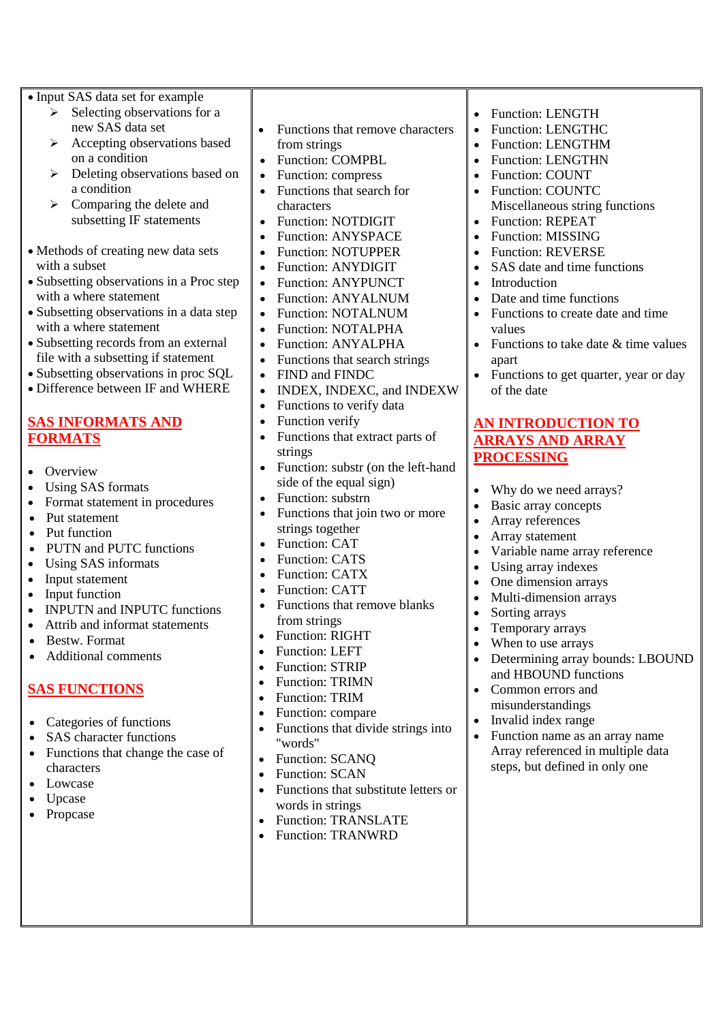| • Input SAS data set for example<br>Selecting observations for a<br>⋗                 |                                         |
|---------------------------------------------------------------------------------------|-----------------------------------------|
| new SAS data set                                                                      | Funct                                   |
| $\blacktriangleright$<br>Accepting observations based                                 | from s                                  |
| on a condition                                                                        | Funct                                   |
| Deleting observations based on<br>$\blacktriangleright$<br>a condition                | $\bullet$<br>Functi                     |
| $\blacktriangleright$<br>Comparing the delete and                                     | Funct<br>charad                         |
| subsetting IF statements                                                              | Funct<br>$\bullet$                      |
|                                                                                       | Functi<br>$\bullet$                     |
| • Methods of creating new data sets                                                   | Funct<br>$\bullet$                      |
| with a subset                                                                         | Funct                                   |
| • Subsetting observations in a Proc step                                              | Funct                                   |
| with a where statement                                                                | Funct                                   |
| • Subsetting observations in a data step                                              | Funct                                   |
| with a where statement                                                                | Funct                                   |
| • Subsetting records from an external                                                 | Functi                                  |
| file with a subsetting if statement<br>• Subsetting observations in proc SQL          | Functi                                  |
| • Difference between IF and WHERE                                                     | <b>FIND</b><br><b>INDE</b><br>$\bullet$ |
|                                                                                       | Funct<br>$\bullet$                      |
| <b>SAS INFORMATS AND</b>                                                              | Funct                                   |
| <b>FORMATS</b>                                                                        | Functi                                  |
|                                                                                       | string                                  |
| Overview                                                                              | Functi                                  |
| $\bullet$<br><b>Using SAS formats</b>                                                 | side o                                  |
| $\bullet$<br>Format statement in procedures                                           | Funct<br>$\bullet$                      |
| $\bullet$<br>Put statement                                                            | Funct                                   |
| $\bullet$<br>Put function                                                             | strings                                 |
| <b>PUTN</b> and <b>PUTC</b> functions                                                 | Funct                                   |
| Using SAS informats<br>$\bullet$                                                      | Funct<br>Funct                          |
| $\bullet$<br>Input statement                                                          | $\bullet$<br>Funct                      |
| Input function<br>$\bullet$<br><b>INPUTN</b> and <b>INPUTC</b> functions<br>$\bullet$ | Functi                                  |
| $\bullet$<br>Attrib and informat statements                                           | from s                                  |
| Bestw. Format                                                                         | Functi                                  |
| <b>Additional comments</b>                                                            | Functi                                  |
|                                                                                       | Functi                                  |
| <b>SAS FUNCTIONS</b>                                                                  | Functi                                  |
|                                                                                       | Functi                                  |
| Categories of functions                                                               | Functi                                  |
| <b>SAS</b> character functions                                                        | Functi<br>"word                         |
| Functions that change the case of                                                     | Functi                                  |
| characters                                                                            | Functi                                  |
| Lowcase                                                                               | Functi                                  |
| Upcase                                                                                | words                                   |
| Propcase                                                                              | Functi                                  |
|                                                                                       | Functi                                  |
|                                                                                       |                                         |
|                                                                                       |                                         |

- ions that remove characters strings
- ion: COMPBL
- ion: compress

- ions that search for cters
- ion: NOTDIGIT
- ion: ANYSPACE
- ion: NOTUPPER
- ion: ANYDIGIT
- ion: ANYPUNCT
- ion: ANYALNUM
- ion: NOTALNUM
- ion: NOTALPHA
- ion: ANYALPHA
- ions that search strings
- and FINDC
- IX, INDEXC, and INDEXW
- ions to verify data
- ion verify
- ions that extract parts of strings
- ion: substr (on the left-hand f the equal sign)
- ion: substrn
- ions that join two or more s together
- ion: CAT
- ion: CATS
- ion: CATX
- ion: CATT
- ions that remove blanks strings
- ion: RIGHT
- ion: LEFT
- ion: STRIP
- ion: TRIMN
- ion: TRIM
- ion: compare
- ions that divide strings into  $s"$
- ion: SCANQ
- ion: SCAN
- ions that substitute letters or in strings
- ion: TRANSLATE
- $ion: TRANWRD$
- Function: LENGTH
- Function: LENGTHC
- Function: LENGTHM
- Function: LENGTHN
- Function: COUNT
- Function: COUNTC Miscellaneous string functions
- Function: REPEAT
- Function: MISSING
- Function: REVERSE
- SAS date and time functions
- Introduction
- Date and time functions
- Functions to create date and time values
- Functions to take date & time values apart
- Functions to get quarter, year or day of the date

#### **AN INTRODUCTION TO ARRAYS AND ARRAY PROCESSING**

- Why do we need arrays?
- Basic array concepts
- Array references
- Array statement
- Variable name array reference
- Using array indexes
- One dimension arrays
- Multi-dimension arrays
- Sorting arrays
- Temporary arrays
- When to use arrays
- Determining array bounds: LBOUND and HBOUND functions
- Common errors and misunderstandings
- Invalid index range
- Function name as an array name Array referenced in multiple data steps, but defined in only one